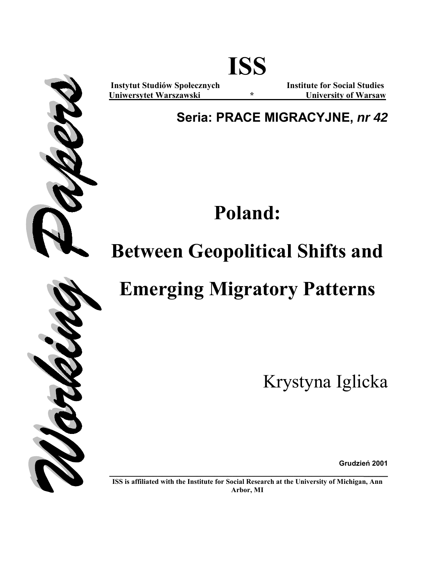

**Instytut Studiów Społecznych Institute for Social Studies Uniwersytet Warszawski \* University of Warsaw**

**Seria: PRACE MIGRACYJNE,** *nr 42*

**Poland:** 

## **Between Geopolitical Shifts and**

## **Emerging Migratory Patterns**

Krystyna Iglicka

**Grudzień 2001**

**\_\_\_\_\_\_\_\_\_\_\_\_\_\_\_\_\_\_\_\_\_\_\_\_\_\_\_\_\_\_\_\_\_\_\_\_\_\_\_\_\_\_\_\_\_\_\_\_\_\_\_\_\_\_\_\_\_\_\_\_\_\_\_ ISS is affiliated with the Institute for Social Research at the University of Michigan, Ann Arbor, MI** 

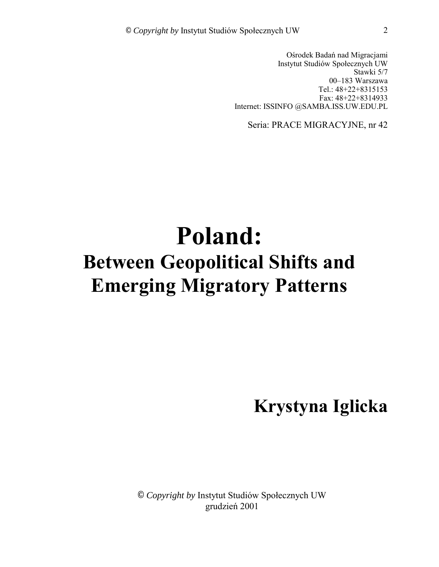Ośrodek Badań nad Migracjami Instytut Studiów Społecznych UW Stawki 5/7 00-183 Warszawa Tel.: 48+22+8315153 Fax: 48+22+8314933 Internet: ISSINFO @SAMBA.ISS.UW.EDU.PL

Seria: PRACE MIGRACYJNE, nr 42

# **Poland: Between Geopolitical Shifts and Emerging Migratory Patterns**

**Krystyna Iglicka** 

© *Copyright by* Instytut Studiów Społecznych UW grudzień 2001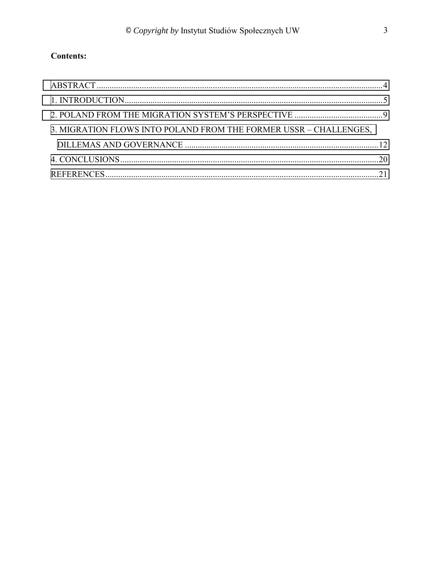### **Contents:**

| 3. MIGRATION FLOWS INTO POLAND FROM THE FORMER USSR - CHALLENGES, |  |
|-------------------------------------------------------------------|--|
|                                                                   |  |
|                                                                   |  |
|                                                                   |  |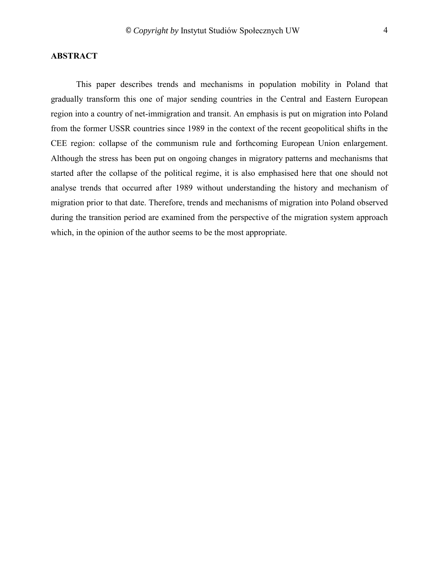### <span id="page-3-0"></span>**ABSTRACT**

This paper describes trends and mechanisms in population mobility in Poland that gradually transform this one of major sending countries in the Central and Eastern European region into a country of net-immigration and transit. An emphasis is put on migration into Poland from the former USSR countries since 1989 in the context of the recent geopolitical shifts in the CEE region: collapse of the communism rule and forthcoming European Union enlargement. Although the stress has been put on ongoing changes in migratory patterns and mechanisms that started after the collapse of the political regime, it is also emphasised here that one should not analyse trends that occurred after 1989 without understanding the history and mechanism of migration prior to that date. Therefore, trends and mechanisms of migration into Poland observed during the transition period are examined from the perspective of the migration system approach which, in the opinion of the author seems to be the most appropriate.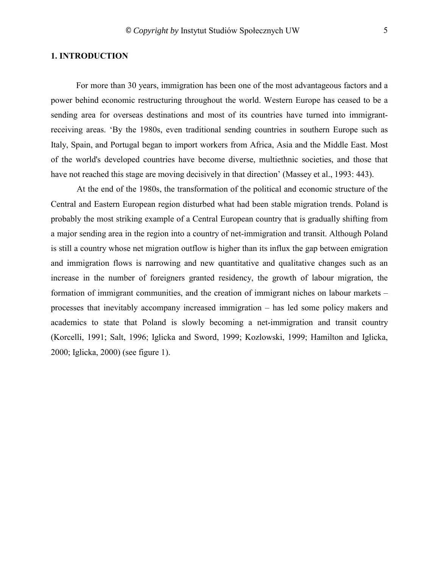#### <span id="page-4-0"></span>**1. INTRODUCTION**

For more than 30 years, immigration has been one of the most advantageous factors and a power behind economic restructuring throughout the world. Western Europe has ceased to be a sending area for overseas destinations and most of its countries have turned into immigrantreceiving areas. 'By the 1980s, even traditional sending countries in southern Europe such as Italy, Spain, and Portugal began to import workers from Africa, Asia and the Middle East. Most of the world's developed countries have become diverse, multiethnic societies, and those that have not reached this stage are moving decisively in that direction' (Massey et al., 1993: 443).

At the end of the 1980s, the transformation of the political and economic structure of the Central and Eastern European region disturbed what had been stable migration trends. Poland is probably the most striking example of a Central European country that is gradually shifting from a major sending area in the region into a country of net-immigration and transit. Although Poland is still a country whose net migration outflow is higher than its influx the gap between emigration and immigration flows is narrowing and new quantitative and qualitative changes such as an increase in the number of foreigners granted residency, the growth of labour migration, the formation of immigrant communities, and the creation of immigrant niches on labour markets  $$ processes that inevitably accompany increased immigration  $-$  has led some policy makers and academics to state that Poland is slowly becoming a net-immigration and transit country (Korcelli, 1991; Salt, 1996; Iglicka and Sword, 1999; Kozlowski, 1999; Hamilton and Iglicka, 2000; Iglicka, 2000) (see figure 1).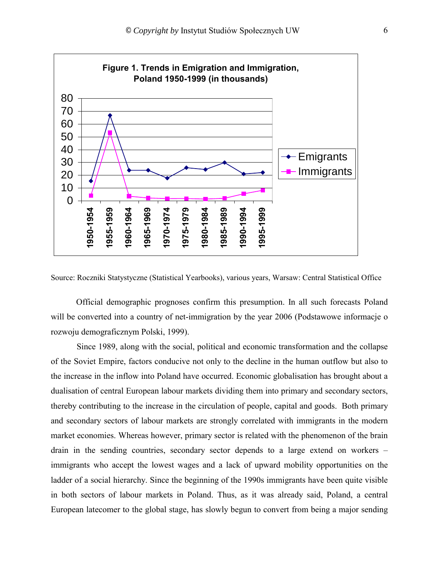

Source: Roczniki Statystyczne (Statistical Yearbooks), various years, Warsaw: Central Statistical Office

Official demographic prognoses confirm this presumption. In all such forecasts Poland will be converted into a country of net-immigration by the year 2006 (Podstawowe informacje o rozwoju demograficznym Polski, 1999).

Since 1989, along with the social, political and economic transformation and the collapse of the Soviet Empire, factors conducive not only to the decline in the human outflow but also to the increase in the inflow into Poland have occurred. Economic globalisation has brought about a dualisation of central European labour markets dividing them into primary and secondary sectors, thereby contributing to the increase in the circulation of people, capital and goods. Both primary and secondary sectors of labour markets are strongly correlated with immigrants in the modern market economies. Whereas however, primary sector is related with the phenomenon of the brain drain in the sending countries, secondary sector depends to a large extend on workers  $$ immigrants who accept the lowest wages and a lack of upward mobility opportunities on the ladder of a social hierarchy. Since the beginning of the 1990s immigrants have been quite visible in both sectors of labour markets in Poland. Thus, as it was already said, Poland, a central European latecomer to the global stage, has slowly begun to convert from being a major sending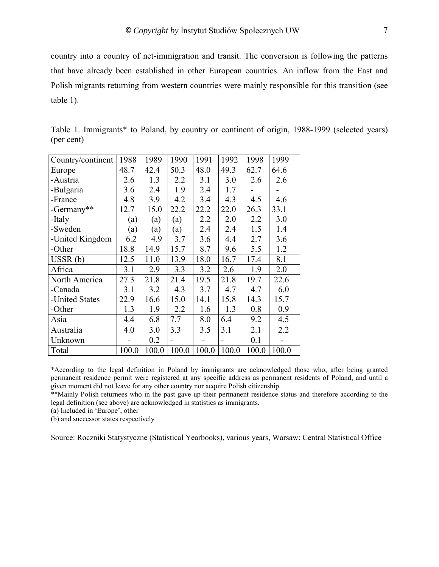country into a country of net-immigration and transit. The conversion is following the patterns that have already been established in other European countries. An inflow from the East and Polish migrants returning from western countries were mainly responsible for this transition (see table 1).

| Country/continent | 1988  | 1989  | 1990           | 1991  | 1992  | 1998  | 1999  |
|-------------------|-------|-------|----------------|-------|-------|-------|-------|
| Europe            | 48.7  | 42.4  | 50.3           | 48.0  | 49.3  | 62.7  | 64.6  |
| -Austria          | 2.6   | 1.3   | 2.2            | 3.1   | 3.0   | 2.6   | 2.6   |
| -Bulgaria         | 3.6   | 2.4   | 1.9            | 2.4   | 1.7   |       |       |
| -France           | 4.8   | 3.9   | 4.2            | 3.4   | 4.3   | 4.5   | 4.6   |
| -Germany**        | 12.7  | 15.0  | 22.2           | 22.2  | 22.0  | 26.3  | 33.1  |
| -Italy            | (a)   | (a)   | (a)            | 2.2   | 2.0   | 2.2   | 3.0   |
| -Sweden           | (a)   | (a)   | (a)            | 2.4   | 2.4   | 1.5   | 1.4   |
| -United Kingdom   | 6.2   | 4.9   | 3.7            | 3.6   | 4.4   | 2.7   | 3.6   |
| -Other            | 18.8  | 14.9  | 15.7           | 8.7   | 9.6   | 5.5   | 1.2   |
| USSR(b)           | 12.5  | 11.0  | 13.9           | 18.0  | 16.7  | 17.4  | 8.1   |
| Africa            | 3.1   | 2.9   | 3.3            | 3.2   | 2.6   | 1.9   | 2.0   |
| North America     | 27.3  | 21.8  | 21.4           | 19.5  | 21.8  | 19.7  | 22.6  |
| -Canada           | 3.1   | 3.2   | 4.3            | 3.7   | 4.7   | 4.7   | 6.0   |
| -United States    | 22.9  | 16.6  | 15.0           | 14.1  | 15.8  | 14.3  | 15.7  |
| -Other            | 1.3   | 1.9   | 2.2            | 1.6   | 1.3   | 0.8   | 0.9   |
| Asia              | 4.4   | 6.8   | 7.7            | 8.0   | 6.4   | 9.2   | 4.5   |
| Australia         | 4.0   | 3.0   | 3.3            | 3.5   | 3.1   | 2.1   | 2.2   |
| Unknown           |       | 0.2   | $\blacksquare$ |       |       | 0.1   |       |
| Total             | 100.0 | 100.0 | 100.0          | 100.0 | 100.0 | 100.0 | 100.0 |

Table 1. Immigrants\* to Poland, by country or continent of origin, 1988-1999 (selected years) (per cent)

\*According to the legal definition in Poland by immigrants are acknowledged those who, after being granted permanent residence permit were registered at any specific address as permanent residents of Poland, and until a given moment did not leave for any other country nor acquire Polish citizenship.

\*\*Mainly Polish returnees who in the past gave up their permanent residence status and therefore according to the legal definition (see above) are acknowledged in statistics as immigrants.

(a) Included in 'Europe', other

(b) and successor states respectively

Source: Roczniki Statystyczne (Statistical Yearbooks), various years, Warsaw: Central Statistical Office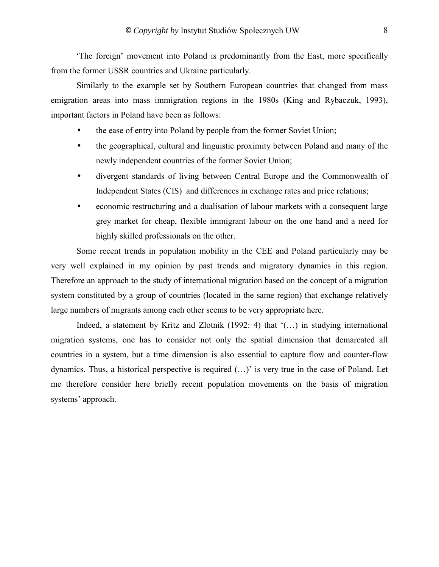The foreign' movement into Poland is predominantly from the East, more specifically from the former USSR countries and Ukraine particularly.

Similarly to the example set by Southern European countries that changed from mass emigration areas into mass immigration regions in the 1980s (King and Rybaczuk, 1993), important factors in Poland have been as follows:

- the ease of entry into Poland by people from the former Soviet Union;
- the geographical, cultural and linguistic proximity between Poland and many of the newly independent countries of the former Soviet Union;
- divergent standards of living between Central Europe and the Commonwealth of Independent States (CIS) and differences in exchange rates and price relations;
- economic restructuring and a dualisation of labour markets with a consequent large grey market for cheap, flexible immigrant labour on the one hand and a need for highly skilled professionals on the other.

Some recent trends in population mobility in the CEE and Poland particularly may be very well explained in my opinion by past trends and migratory dynamics in this region. Therefore an approach to the study of international migration based on the concept of a migration system constituted by a group of countries (located in the same region) that exchange relatively large numbers of migrants among each other seems to be very appropriate here.

Indeed, a statement by Kritz and Zlotnik (1992: 4) that  $\langle$ ...) in studying international migration systems, one has to consider not only the spatial dimension that demarcated all countries in a system, but a time dimension is also essential to capture flow and counter-flow dynamics. Thus, a historical perspective is required  $(\ldots)$  is very true in the case of Poland. Let me therefore consider here briefly recent population movements on the basis of migration systems' approach.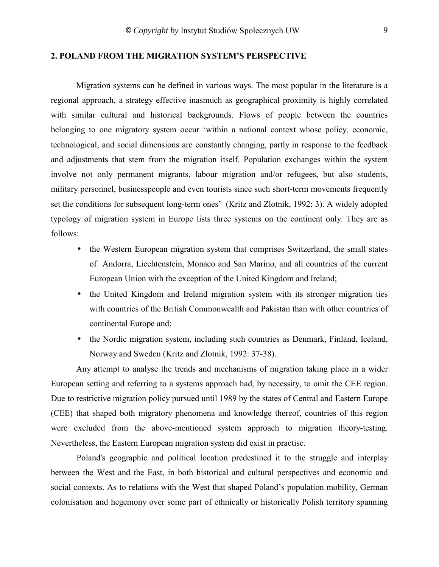#### <span id="page-8-0"></span>**2. POLAND FROM THE MIGRATION SYSTEMíS PERSPECTIVE**

Migration systems can be defined in various ways. The most popular in the literature is a regional approach, a strategy effective inasmuch as geographical proximity is highly correlated with similar cultural and historical backgrounds. Flows of people between the countries belonging to one migratory system occur ëwithin a national context whose policy, economic, technological, and social dimensions are constantly changing, partly in response to the feedback and adjustments that stem from the migration itself. Population exchanges within the system involve not only permanent migrants, labour migration and/or refugees, but also students, military personnel, businesspeople and even tourists since such short-term movements frequently set the conditions for subsequent long-term ones' (Kritz and Zlotnik, 1992: 3). A widely adopted typology of migration system in Europe lists three systems on the continent only. They are as follows:

- the Western European migration system that comprises Switzerland, the small states of Andorra, Liechtenstein, Monaco and San Marino, and all countries of the current European Union with the exception of the United Kingdom and Ireland;
- the United Kingdom and Ireland migration system with its stronger migration ties with countries of the British Commonwealth and Pakistan than with other countries of continental Europe and;
- the Nordic migration system, including such countries as Denmark, Finland, Iceland, Norway and Sweden (Kritz and Zlotnik, 1992: 37-38).

Any attempt to analyse the trends and mechanisms of migration taking place in a wider European setting and referring to a systems approach had, by necessity, to omit the CEE region. Due to restrictive migration policy pursued until 1989 by the states of Central and Eastern Europe (CEE) that shaped both migratory phenomena and knowledge thereof, countries of this region were excluded from the above-mentioned system approach to migration theory-testing. Nevertheless, the Eastern European migration system did exist in practise.

Poland's geographic and political location predestined it to the struggle and interplay between the West and the East, in both historical and cultural perspectives and economic and social contexts. As to relations with the West that shaped Poland's population mobility, German colonisation and hegemony over some part of ethnically or historically Polish territory spanning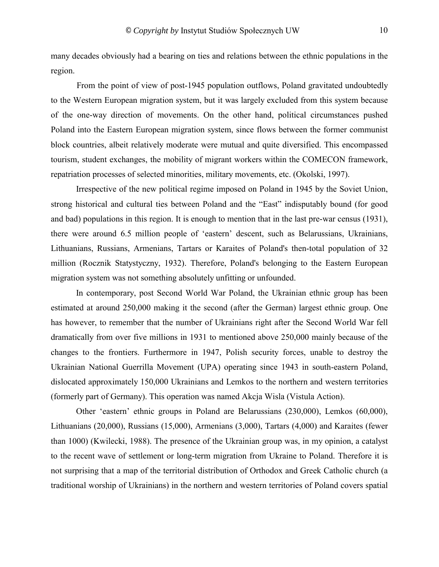many decades obviously had a bearing on ties and relations between the ethnic populations in the region.

From the point of view of post-1945 population outflows, Poland gravitated undoubtedly to the Western European migration system, but it was largely excluded from this system because of the one-way direction of movements. On the other hand, political circumstances pushed Poland into the Eastern European migration system, since flows between the former communist block countries, albeit relatively moderate were mutual and quite diversified. This encompassed tourism, student exchanges, the mobility of migrant workers within the COMECON framework, repatriation processes of selected minorities, military movements, etc. (Okolski, 1997).

Irrespective of the new political regime imposed on Poland in 1945 by the Soviet Union, strong historical and cultural ties between Poland and the "East" indisputably bound (for good and bad) populations in this region. It is enough to mention that in the last pre-war census (1931), there were around 6.5 million people of 'eastern' descent, such as Belarussians, Ukrainians, Lithuanians, Russians, Armenians, Tartars or Karaites of Poland's then-total population of 32 million (Rocznik Statystyczny, 1932). Therefore, Poland's belonging to the Eastern European migration system was not something absolutely unfitting or unfounded.

In contemporary, post Second World War Poland, the Ukrainian ethnic group has been estimated at around 250,000 making it the second (after the German) largest ethnic group. One has however, to remember that the number of Ukrainians right after the Second World War fell dramatically from over five millions in 1931 to mentioned above 250,000 mainly because of the changes to the frontiers. Furthermore in 1947, Polish security forces, unable to destroy the Ukrainian National Guerrilla Movement (UPA) operating since 1943 in south-eastern Poland, dislocated approximately 150,000 Ukrainians and Lemkos to the northern and western territories (formerly part of Germany). This operation was named Akcja Wisla (Vistula Action).

Other 'eastern' ethnic groups in Poland are Belarussians (230,000), Lemkos (60,000), Lithuanians (20,000), Russians (15,000), Armenians (3,000), Tartars (4,000) and Karaites (fewer than 1000) (Kwilecki, 1988). The presence of the Ukrainian group was, in my opinion, a catalyst to the recent wave of settlement or long-term migration from Ukraine to Poland. Therefore it is not surprising that a map of the territorial distribution of Orthodox and Greek Catholic church (a traditional worship of Ukrainians) in the northern and western territories of Poland covers spatial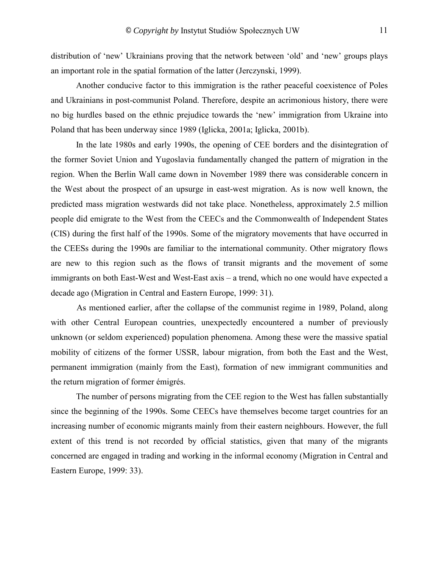distribution of 'new' Ukrainians proving that the network between 'old' and 'new' groups plays an important role in the spatial formation of the latter (Jerczynski, 1999).

Another conducive factor to this immigration is the rather peaceful coexistence of Poles and Ukrainians in post-communist Poland. Therefore, despite an acrimonious history, there were no big hurdles based on the ethnic prejudice towards the 'new' immigration from Ukraine into Poland that has been underway since 1989 (Iglicka, 2001a; Iglicka, 2001b).

In the late 1980s and early 1990s, the opening of CEE borders and the disintegration of the former Soviet Union and Yugoslavia fundamentally changed the pattern of migration in the region. When the Berlin Wall came down in November 1989 there was considerable concern in the West about the prospect of an upsurge in east-west migration. As is now well known, the predicted mass migration westwards did not take place. Nonetheless, approximately 2.5 million people did emigrate to the West from the CEECs and the Commonwealth of Independent States (CIS) during the first half of the 1990s. Some of the migratory movements that have occurred in the CEESs during the 1990s are familiar to the international community. Other migratory flows are new to this region such as the flows of transit migrants and the movement of some immigrants on both East-West and West-East axis – a trend, which no one would have expected a decade ago (Migration in Central and Eastern Europe, 1999: 31).

As mentioned earlier, after the collapse of the communist regime in 1989, Poland, along with other Central European countries, unexpectedly encountered a number of previously unknown (or seldom experienced) population phenomena. Among these were the massive spatial mobility of citizens of the former USSR, labour migration, from both the East and the West, permanent immigration (mainly from the East), formation of new immigrant communities and the return migration of former émigrés.

The number of persons migrating from the CEE region to the West has fallen substantially since the beginning of the 1990s. Some CEECs have themselves become target countries for an increasing number of economic migrants mainly from their eastern neighbours. However, the full extent of this trend is not recorded by official statistics, given that many of the migrants concerned are engaged in trading and working in the informal economy (Migration in Central and Eastern Europe, 1999: 33).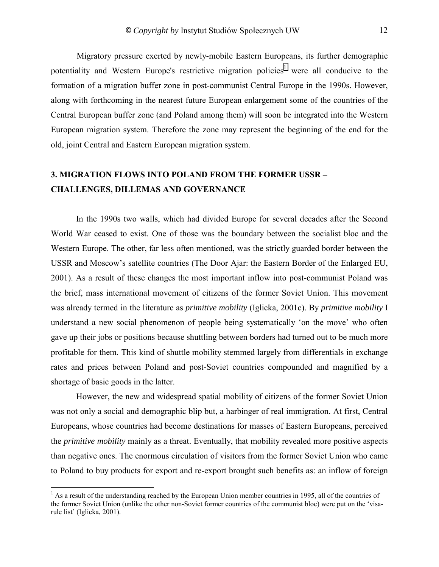<span id="page-11-0"></span>Migratory pressure exerted by newly-mobile Eastern Europeans, its further demographic potentiality and Western Europe's restrictive migration policies<sup>1</sup> were all conducive to the formation of a migration buffer zone in post-communist Central Europe in the 1990s. However, along with forthcoming in the nearest future European enlargement some of the countries of the Central European buffer zone (and Poland among them) will soon be integrated into the Western European migration system. Therefore the zone may represent the beginning of the end for the old, joint Central and Eastern European migration system.

### **3. MIGRATION FLOWS INTO POLAND FROM THE FORMER USSR -CHALLENGES, DILLEMAS AND GOVERNANCE**

In the 1990s two walls, which had divided Europe for several decades after the Second World War ceased to exist. One of those was the boundary between the socialist bloc and the Western Europe. The other, far less often mentioned, was the strictly guarded border between the USSR and Moscow's satellite countries (The Door Ajar: the Eastern Border of the Enlarged EU, 2001). As a result of these changes the most important inflow into post-communist Poland was the brief, mass international movement of citizens of the former Soviet Union. This movement was already termed in the literature as *primitive mobility* (Iglicka, 2001c). By *primitive mobility* I understand a new social phenomenon of people being systematically 'on the move' who often gave up their jobs or positions because shuttling between borders had turned out to be much more profitable for them. This kind of shuttle mobility stemmed largely from differentials in exchange rates and prices between Poland and post-Soviet countries compounded and magnified by a shortage of basic goods in the latter.

However, the new and widespread spatial mobility of citizens of the former Soviet Union was not only a social and demographic blip but, a harbinger of real immigration. At first, Central Europeans, whose countries had become destinations for masses of Eastern Europeans, perceived the *primitive mobility* mainly as a threat. Eventually, that mobility revealed more positive aspects than negative ones. The enormous circulation of visitors from the former Soviet Union who came to Poland to buy products for export and re-export brought such benefits as: an inflow of foreign

 $\overline{a}$ 

<sup>&</sup>lt;sup>1</sup> As a result of the understanding reached by the European Union member countries in 1995, all of the countries of the former Soviet Union (unlike the other non-Soviet former countries of the communist bloc) were put on the 'visarule list' (Iglicka, 2001).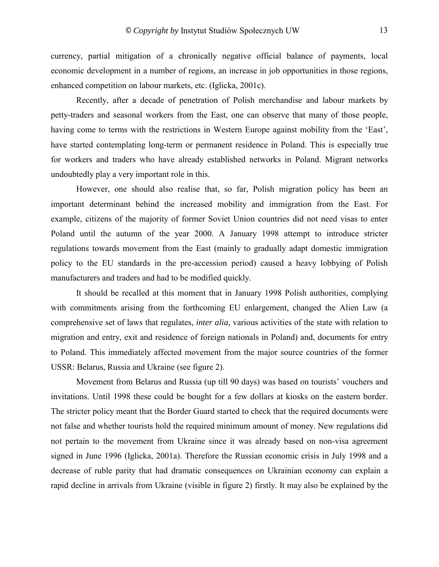currency, partial mitigation of a chronically negative official balance of payments, local economic development in a number of regions, an increase in job opportunities in those regions, enhanced competition on labour markets, etc. (Iglicka, 2001c).

Recently, after a decade of penetration of Polish merchandise and labour markets by petty-traders and seasonal workers from the East, one can observe that many of those people, having come to terms with the restrictions in Western Europe against mobility from the 'East', have started contemplating long-term or permanent residence in Poland. This is especially true for workers and traders who have already established networks in Poland. Migrant networks undoubtedly play a very important role in this.

However, one should also realise that, so far, Polish migration policy has been an important determinant behind the increased mobility and immigration from the East. For example, citizens of the majority of former Soviet Union countries did not need visas to enter Poland until the autumn of the year 2000. A January 1998 attempt to introduce stricter regulations towards movement from the East (mainly to gradually adapt domestic immigration policy to the EU standards in the pre-accession period) caused a heavy lobbying of Polish manufacturers and traders and had to be modified quickly.

It should be recalled at this moment that in January 1998 Polish authorities, complying with commitments arising from the forthcoming EU enlargement, changed the Alien Law (a comprehensive set of laws that regulates, *inter alia,* various activities of the state with relation to migration and entry, exit and residence of foreign nationals in Poland) and, documents for entry to Poland. This immediately affected movement from the major source countries of the former USSR: Belarus, Russia and Ukraine (see figure 2).

Movement from Belarus and Russia (up till 90 days) was based on tourists' vouchers and invitations. Until 1998 these could be bought for a few dollars at kiosks on the eastern border. The stricter policy meant that the Border Guard started to check that the required documents were not false and whether tourists hold the required minimum amount of money. New regulations did not pertain to the movement from Ukraine since it was already based on non-visa agreement signed in June 1996 (Iglicka, 2001a). Therefore the Russian economic crisis in July 1998 and a decrease of ruble parity that had dramatic consequences on Ukrainian economy can explain a rapid decline in arrivals from Ukraine (visible in figure 2) firstly. It may also be explained by the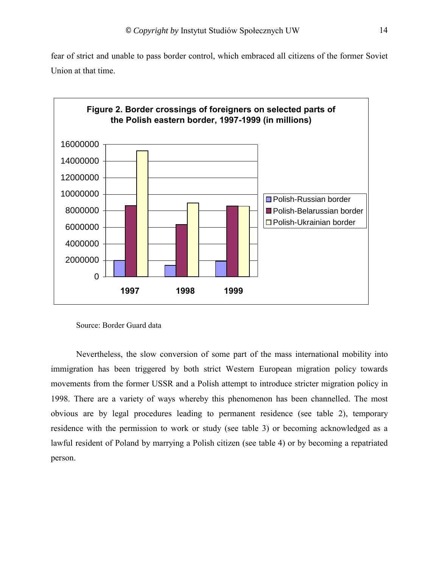fear of strict and unable to pass border control, which embraced all citizens of the former Soviet Union at that time.



Source: Border Guard data

Nevertheless, the slow conversion of some part of the mass international mobility into immigration has been triggered by both strict Western European migration policy towards movements from the former USSR and a Polish attempt to introduce stricter migration policy in 1998. There are a variety of ways whereby this phenomenon has been channelled. The most obvious are by legal procedures leading to permanent residence (see table 2), temporary residence with the permission to work or study (see table 3) or becoming acknowledged as a lawful resident of Poland by marrying a Polish citizen (see table 4) or by becoming a repatriated person.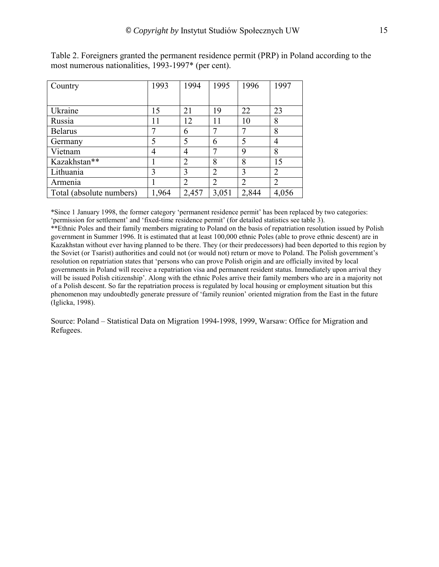| Country                  | 1993  | 1994           | 1995           | 1996           | 1997  |
|--------------------------|-------|----------------|----------------|----------------|-------|
|                          |       |                |                |                |       |
| Ukraine                  | 15    | 21             | 19             | 22             | 23    |
| Russia                   | 11    | 12             | 11             | 10             | 8     |
| <b>Belarus</b>           |       | 6              |                | 7              | 8     |
| Germany                  | 5     | 5              | 6              | 5              | 4     |
| Vietnam                  | 4     | 4              |                | 9              | 8     |
| Kazakhstan**             |       | $\overline{2}$ | 8              | 8              | 15    |
| Lithuania                | 3     | 3              | $\overline{2}$ | 3              | 2     |
| Armenia                  |       | $\overline{2}$ | $\overline{2}$ | $\overline{2}$ | 2     |
| Total (absolute numbers) | 1,964 | 2,457          | 3,051          | 2,844          | 4,056 |

Table 2. Foreigners granted the permanent residence permit (PRP) in Poland according to the most numerous nationalities, 1993-1997\* (per cent).

\*Since 1 January 1998, the former category ëpermanent residence permití has been replaced by two categories: 'permission for settlement' and 'fixed-time residence permit' (for detailed statistics see table 3).

\*\*Ethnic Poles and their family members migrating to Poland on the basis of repatriation resolution issued by Polish government in Summer 1996. It is estimated that at least 100,000 ethnic Poles (able to prove ethnic descent) are in Kazakhstan without ever having planned to be there. They (or their predecessors) had been deported to this region by the Soviet (or Tsarist) authorities and could not (or would not) return or move to Poland. The Polish governmentís resolution on repatriation states that ëpersons who can prove Polish origin and are officially invited by local governments in Poland will receive a repatriation visa and permanent resident status. Immediately upon arrival they will be issued Polish citizenship'. Along with the ethnic Poles arrive their family members who are in a majority not of a Polish descent. So far the repatriation process is regulated by local housing or employment situation but this phenomenon may undoubtedly generate pressure of 'family reunion' oriented migration from the East in the future (Iglicka, 1998).

Source: Poland – Statistical Data on Migration 1994-1998, 1999, Warsaw: Office for Migration and Refugees.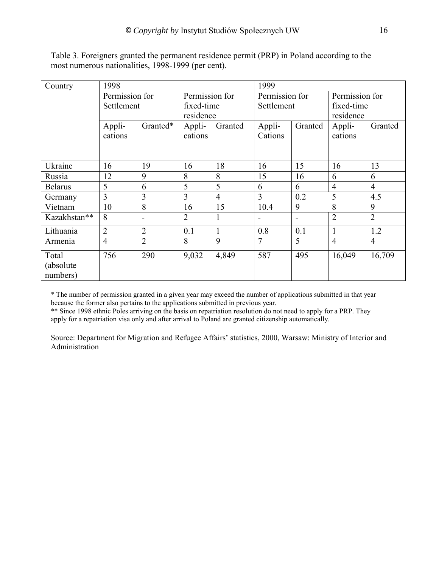| Country        | 1998           |                |                         |                | 1999           |                          |                |                |  |
|----------------|----------------|----------------|-------------------------|----------------|----------------|--------------------------|----------------|----------------|--|
|                | Permission for |                | Permission for          |                | Permission for |                          | Permission for |                |  |
|                | Settlement     |                | fixed-time<br>residence |                | Settlement     |                          | fixed-time     |                |  |
|                |                |                |                         |                |                |                          | residence      |                |  |
|                | Appli-         | Granted*       | Appli-<br>Granted       |                | Appli-         | Granted                  | Appli-         | Granted        |  |
|                | cations        |                | cations                 |                | Cations        |                          | cations        |                |  |
|                |                |                |                         |                |                |                          |                |                |  |
|                |                |                |                         |                |                |                          |                |                |  |
| Ukraine        | 16             | 19             | 16                      | 18             | 16             | 15                       | 16             | 13             |  |
| Russia         | 12             | 9              | 8                       | 8              | 15             | 16                       | 6              | 6              |  |
| <b>Belarus</b> | 5              | 6              | 5                       | 5              | 6              | 6                        | $\overline{4}$ | $\overline{4}$ |  |
| Germany        | 3              | $\overline{3}$ | 3                       | $\overline{4}$ | 3              | 0.2                      | 5              | 4.5            |  |
| Vietnam        | 10             | 8              | 16                      | 15             | 10.4           | 9                        | 8              | 9              |  |
| Kazakhstan**   | 8              | -              | $\overline{2}$          | 1              |                | $\overline{\phantom{a}}$ | $\overline{2}$ | $\overline{2}$ |  |
| Lithuania      | $\overline{2}$ | $\overline{2}$ | 0.1                     | $\mathbf{1}$   | 0.8            | 0.1                      | $\mathbf{1}$   | 1.2            |  |
| Armenia        | $\overline{4}$ | $\overline{2}$ | 8                       | 9              | 7              | 5                        | $\overline{4}$ | $\overline{4}$ |  |
| Total          | 756            | 290            | 9,032                   | 4,849          | 587            | 495                      | 16,049         | 16,709         |  |
| (absolute)     |                |                |                         |                |                |                          |                |                |  |
| numbers)       |                |                |                         |                |                |                          |                |                |  |

Table 3. Foreigners granted the permanent residence permit (PRP) in Poland according to the most numerous nationalities, 1998-1999 (per cent).

\* The number of permission granted in a given year may exceed the number of applications submitted in that year because the former also pertains to the applications submitted in previous year.

\*\* Since 1998 ethnic Poles arriving on the basis on repatriation resolution do not need to apply for a PRP. They apply for a repatriation visa only and after arrival to Poland are granted citizenship automatically.

Source: Department for Migration and Refugee Affairs' statistics, 2000, Warsaw: Ministry of Interior and Administration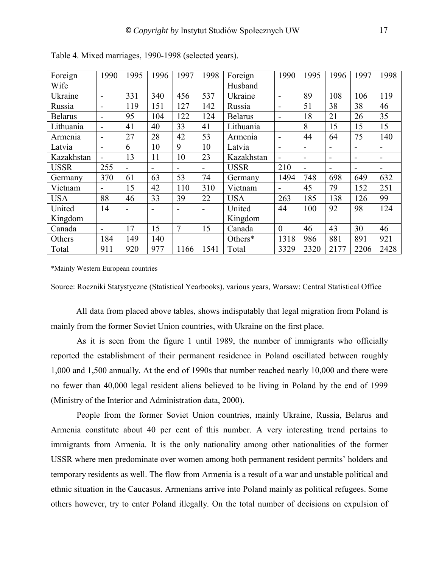| Foreign        | 1990                     | 1995           | 1996 | 1997                     | 1998 | Foreign        | 1990     | 1995                     | 1996                         | 1997 | 1998                     |
|----------------|--------------------------|----------------|------|--------------------------|------|----------------|----------|--------------------------|------------------------------|------|--------------------------|
| Wife           |                          |                |      |                          |      | Husband        |          |                          |                              |      |                          |
| Ukraine        | ۰                        | 331            | 340  | 456                      | 537  | Ukraine        |          | 89                       | 108                          | 106  | 119                      |
| Russia         | ۰                        | 119            | 151  | 127                      | 142  | Russia         |          | 51                       | 38                           | 38   | 46                       |
| <b>Belarus</b> | $\blacksquare$           | 95             | 104  | 122                      | 124  | <b>Belarus</b> |          | 18                       | 21                           | 26   | 35                       |
| Lithuania      | ۳                        | 41             | 40   | 33                       | 41   | Lithuania      |          | 8                        | 15                           | 15   | 15                       |
| Armenia        | $\blacksquare$           | 27             | 28   | 42                       | 53   | Armenia        |          | 44                       | 64                           | 75   | 140                      |
| Latvia         | $\overline{\phantom{0}}$ | 6              | 10   | 9                        | 10   | Latvia         |          | $\overline{\phantom{0}}$ | $\blacksquare$               |      |                          |
| Kazakhstan     |                          | 13             | 11   | 10                       | 23   | Kazakhstan     |          | $\overline{\phantom{0}}$ | $\qquad \qquad \blacksquare$ | -    | $\overline{\phantom{0}}$ |
| <b>USSR</b>    | 255                      | $\blacksquare$ |      | $\overline{\phantom{0}}$ | -    | <b>USSR</b>    | 210      | $\overline{\phantom{0}}$ |                              |      | $\overline{\phantom{0}}$ |
| Germany        | 370                      | 61             | 63   | 53                       | 74   | Germany        | 1494     | 748                      | 698                          | 649  | 632                      |
| Vietnam        | $\blacksquare$           | 15             | 42   | 110                      | 310  | Vietnam        |          | 45                       | 79                           | 152  | 251                      |
| <b>USA</b>     | 88                       | 46             | 33   | 39                       | 22   | <b>USA</b>     | 263      | 185                      | 138                          | 126  | 99                       |
| United         | 14                       |                |      |                          |      | United         | 44       | 100                      | 92                           | 98   | 124                      |
| Kingdom        |                          |                |      |                          |      | Kingdom        |          |                          |                              |      |                          |
| Canada         | $\blacksquare$           | 17             | 15   | 7                        | 15   | Canada         | $\theta$ | 46                       | 43                           | 30   | 46                       |
| Others         | 184                      | 149            | 140  |                          |      | Others*        | 1318     | 986                      | 881                          | 891  | 921                      |
| Total          | 911                      | 920            | 977  | 1166                     | 1541 | Total          | 3329     | 2320                     | 2177                         | 2206 | 2428                     |

Table 4. Mixed marriages, 1990-1998 (selected years).

\*Mainly Western European countries

Source: Roczniki Statystyczne (Statistical Yearbooks), various years, Warsaw: Central Statistical Office

All data from placed above tables, shows indisputably that legal migration from Poland is mainly from the former Soviet Union countries, with Ukraine on the first place.

As it is seen from the figure 1 until 1989, the number of immigrants who officially reported the establishment of their permanent residence in Poland oscillated between roughly 1,000 and 1,500 annually. At the end of 1990s that number reached nearly 10,000 and there were no fewer than 40,000 legal resident aliens believed to be living in Poland by the end of 1999 (Ministry of the Interior and Administration data, 2000).

People from the former Soviet Union countries, mainly Ukraine, Russia, Belarus and Armenia constitute about 40 per cent of this number. A very interesting trend pertains to immigrants from Armenia. It is the only nationality among other nationalities of the former USSR where men predominate over women among both permanent resident permits' holders and temporary residents as well. The flow from Armenia is a result of a war and unstable political and ethnic situation in the Caucasus. Armenians arrive into Poland mainly as political refugees. Some others however, try to enter Poland illegally. On the total number of decisions on expulsion of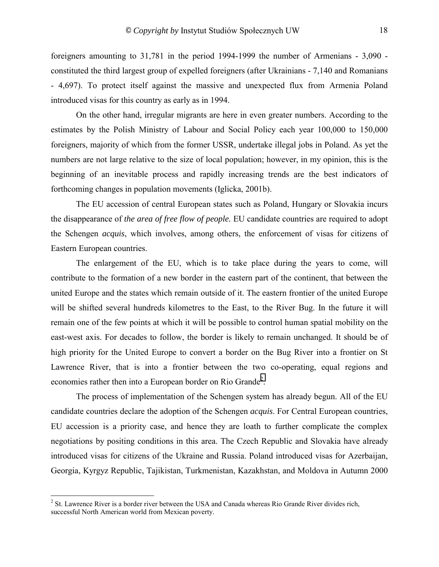foreigners amounting to 31,781 in the period 1994-1999 the number of Armenians - 3,090 constituted the third largest group of expelled foreigners (after Ukrainians - 7,140 and Romanians - 4,697). To protect itself against the massive and unexpected flux from Armenia Poland introduced visas for this country as early as in 1994.

On the other hand, irregular migrants are here in even greater numbers. According to the estimates by the Polish Ministry of Labour and Social Policy each year 100,000 to 150,000 foreigners, majority of which from the former USSR, undertake illegal jobs in Poland. As yet the numbers are not large relative to the size of local population; however, in my opinion, this is the beginning of an inevitable process and rapidly increasing trends are the best indicators of forthcoming changes in population movements (Iglicka, 2001b).

The EU accession of central European states such as Poland, Hungary or Slovakia incurs the disappearance of *the area of free flow of people.* EU candidate countries are required to adopt the Schengen *acquis*, which involves, among others, the enforcement of visas for citizens of Eastern European countries.

The enlargement of the EU, which is to take place during the years to come, will contribute to the formation of a new border in the eastern part of the continent, that between the united Europe and the states which remain outside of it. The eastern frontier of the united Europe will be shifted several hundreds kilometres to the East, to the River Bug. In the future it will remain one of the few points at which it will be possible to control human spatial mobility on the east-west axis. For decades to follow, the border is likely to remain unchanged. It should be of high priority for the United Europe to convert a border on the Bug River into a frontier on St Lawrence River, that is into a frontier between the two co-operating, equal regions and economies rather then into a European border on Rio Grande<sup>2</sup>.

The process of implementation of the Schengen system has already begun. All of the EU candidate countries declare the adoption of the Schengen *acquis*. For Central European countries, EU accession is a priority case, and hence they are loath to further complicate the complex negotiations by positing conditions in this area. The Czech Republic and Slovakia have already introduced visas for citizens of the Ukraine and Russia. Poland introduced visas for Azerbaijan, Georgia, Kyrgyz Republic, Tajikistan, Turkmenistan, Kazakhstan, and Moldova in Autumn 2000

 $\overline{a}$ 

 $2^2$  St. Lawrence River is a border river between the USA and Canada whereas Rio Grande River divides rich, successful North American world from Mexican poverty.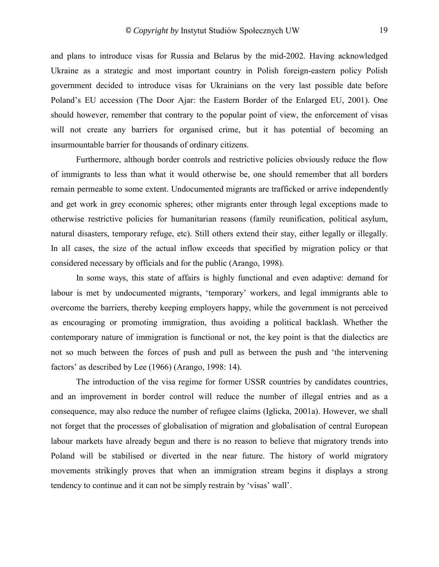and plans to introduce visas for Russia and Belarus by the mid-2002. Having acknowledged Ukraine as a strategic and most important country in Polish foreign-eastern policy Polish government decided to introduce visas for Ukrainians on the very last possible date before Poland's EU accession (The Door Ajar: the Eastern Border of the Enlarged EU, 2001). One should however, remember that contrary to the popular point of view, the enforcement of visas will not create any barriers for organised crime, but it has potential of becoming an insurmountable barrier for thousands of ordinary citizens.

Furthermore, although border controls and restrictive policies obviously reduce the flow of immigrants to less than what it would otherwise be, one should remember that all borders remain permeable to some extent. Undocumented migrants are trafficked or arrive independently and get work in grey economic spheres; other migrants enter through legal exceptions made to otherwise restrictive policies for humanitarian reasons (family reunification, political asylum, natural disasters, temporary refuge, etc). Still others extend their stay, either legally or illegally. In all cases, the size of the actual inflow exceeds that specified by migration policy or that considered necessary by officials and for the public (Arango, 1998).

In some ways, this state of affairs is highly functional and even adaptive: demand for labour is met by undocumented migrants, 'temporary' workers, and legal immigrants able to overcome the barriers, thereby keeping employers happy, while the government is not perceived as encouraging or promoting immigration, thus avoiding a political backlash. Whether the contemporary nature of immigration is functional or not, the key point is that the dialectics are not so much between the forces of push and pull as between the push and 'the intervening factors' as described by Lee (1966) (Arango, 1998: 14).

The introduction of the visa regime for former USSR countries by candidates countries, and an improvement in border control will reduce the number of illegal entries and as a consequence, may also reduce the number of refugee claims (Iglicka, 2001a). However, we shall not forget that the processes of globalisation of migration and globalisation of central European labour markets have already begun and there is no reason to believe that migratory trends into Poland will be stabilised or diverted in the near future. The history of world migratory movements strikingly proves that when an immigration stream begins it displays a strong tendency to continue and it can not be simply restrain by 'visas' wall'.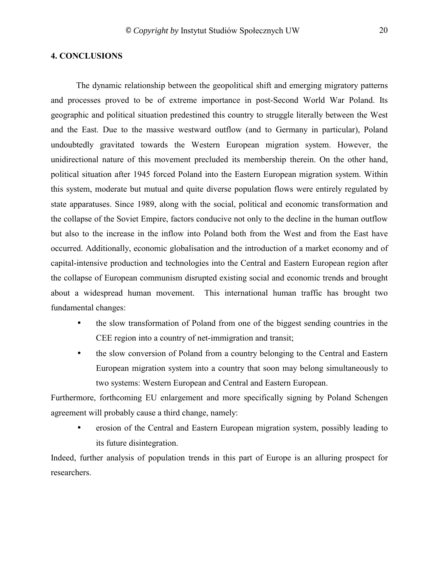#### <span id="page-19-0"></span>**4. CONCLUSIONS**

The dynamic relationship between the geopolitical shift and emerging migratory patterns and processes proved to be of extreme importance in post-Second World War Poland. Its geographic and political situation predestined this country to struggle literally between the West and the East. Due to the massive westward outflow (and to Germany in particular), Poland undoubtedly gravitated towards the Western European migration system. However, the unidirectional nature of this movement precluded its membership therein. On the other hand, political situation after 1945 forced Poland into the Eastern European migration system. Within this system, moderate but mutual and quite diverse population flows were entirely regulated by state apparatuses. Since 1989, along with the social, political and economic transformation and the collapse of the Soviet Empire, factors conducive not only to the decline in the human outflow but also to the increase in the inflow into Poland both from the West and from the East have occurred. Additionally, economic globalisation and the introduction of a market economy and of capital-intensive production and technologies into the Central and Eastern European region after the collapse of European communism disrupted existing social and economic trends and brought about a widespread human movement. This international human traffic has brought two fundamental changes:

- the slow transformation of Poland from one of the biggest sending countries in the CEE region into a country of net-immigration and transit;
- the slow conversion of Poland from a country belonging to the Central and Eastern European migration system into a country that soon may belong simultaneously to two systems: Western European and Central and Eastern European.

Furthermore, forthcoming EU enlargement and more specifically signing by Poland Schengen agreement will probably cause a third change, namely:

• erosion of the Central and Eastern European migration system, possibly leading to its future disintegration.

Indeed, further analysis of population trends in this part of Europe is an alluring prospect for researchers.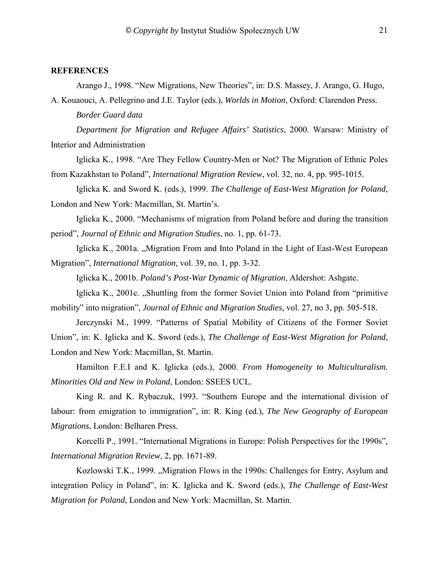#### <span id="page-20-0"></span>**REFERENCES**

Arango J., 1998. "New Migrations, New Theories", in: D.S. Massey, J. Arango, G. Hugo,

A. Kouaouci, A. Pellegrino and J.E. Taylor (eds.), *Worlds in Motion*, Oxford: Clarendon Press. *Border Guard data* 

*Department for Migration and Refugee Affairs' Statistics*, 2000. Warsaw: Ministry of Interior and Administration

Iglicka K., 1998. "Are They Fellow Country-Men or Not? The Migration of Ethnic Poles from Kazakhstan to Polandî, *International Migration Review*, vol. 32, no. 4, pp. 995-1015.

Iglicka K. and Sword K. (eds.), 1999. *The Challenge of East-West Migration for Poland*, London and New York: Macmillan, St. Martin's.

Iglicka K., 2000. "Mechanisms of migration from Poland before and during the transition periodî, *Journal of Ethnic and Migration Studies*, no. 1, pp. 61-73.

Iglicka K., 2001a. "Migration From and Into Poland in the Light of East-West European Migrationî, *International Migration*, vol. 39, no. 1, pp. 3-32.

Iglicka K., 2001b. *Poland's Post-War Dynamic of Migration*, Aldershot: Ashgate.

Iglicka K.,  $2001c$ .  $\Box$ Shuttling from the former Soviet Union into Poland from "primitive" mobility" into migration", *Journal of Ethnic and Migration Studies*, vol. 27, no 3, pp. 505-518.

Jerczynski M., 1999. "Patterns of Spatial Mobility of Citizens of the Former Soviet Unionî, in: K. Iglicka and K. Sword (eds.), *The Challenge of East-West Migration for Poland*, London and New York: Macmillan, St. Martin.

Hamilton F.E.I and K. Iglicka (eds.), 2000. *From Homogeneity to Multiculturalism. Minorities Old and New in Poland*, London: SSEES UCL.

King R. and K. Rybaczuk, 1993. "Southern Europe and the international division of labour: from emigration to immigration", in: R. King (ed.), *The New Geography of European Migrations*, London: Belharen Press.

Korcelli P., 1991. "International Migrations in Europe: Polish Perspectives for the 1990s", *International Migration Review*, 2, pp. 1671-89.

Kozlowski T.K., 1999. "Migration Flows in the 1990s: Challenges for Entry, Asylum and integration Policy in Poland", in: K. Iglicka and K. Sword (eds.), *The Challenge of East-West Migration for Poland*, London and New York: Macmillan, St. Martin.